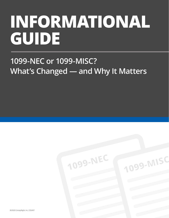# **INFORMATIONAL GUIDE**

## **1099-NEC or 1099-MISC? What's Changed — and Why It Matters**

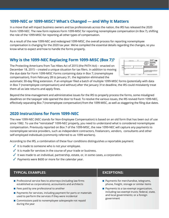#### **1099-NEC or 1099-MISC? What's Changed — and Why It Matters**

In a move that will impact business owners and tax professionals across the nation, the IRS has released the 2020 Form 1099-NEC. The new form replaces Form 1099-MISC for reporting nonemployee compensation (in Box 7), shifting the role of the 1099-MISC for reporting all other types of compensation.

As a result of the new 1099-NEC and redesigned 1099-MISC, the overall process for reporting nonemployee compensation is changing for the 2020 tax year. We've compiled the essential details regarding the changes, so you know what to expect and how to handle the forms properly.

#### **Why is the 1099-NEC Replacing Form 1099-MISC (Box 7)?**

The Protecting Americans from Tax Hikes Act of 2015 (the PATH Act) -- enacted on December 18, 2015 – created a unique situation for tax filers. In addition to moving the due date for Form 1099-MISC Forms containing data in Box 7; (nonemployee compensation), from February 28 to January 31, the legislation eliminated the



automatic 30-day filing extension. If an employer filed a batch of multiple 1099-MISC forms (potentially with data in Box 7 (nonemployee compensation) and without) after the January 31st deadline, the IRS could mistakenly treat them all as late returns and apply fines.

Beyond the time-management and administrative issues for the IRS to properly process the forms, some misaligned deadlines on the taxpayer side opened the door to fraud. To resolve the various issues, the IRS revived Form 1099-NEC, effectively separating Box 7 (nonemployee compensation) from the 1099-MISC, as well as staggering the filing due dates.

#### **2020 Instructions for Form 1099-NEC**

The new 1099-NEC (NEC stands for Non-Employee Compensation) is based on an old form that has been out of use since 1982. To use the "reinstated" 1099-NEC properly, you need to understand what is considered nonemployee compensation. Previously reported on Box 7 of the 1099-MISC, the new 1099-NEC will capture any payments to nonemployee service providers, such as independent contractors, freelancers, vendors, consultants and other self-employed individuals (commonly referred to as 1099 workers).

According to the IRS, a combination of these four conditions distinguishes a reportable payment:

- $\checkmark$  It is made to someone who is not your employee.
- $\checkmark$  It is made for services in the course of your trade or business.
- $\checkmark$  It was made to an individual, partnership, estate, or, in some cases, a corporation.
- $\sqrt{\ }$  Payments were \$600 or more for the calendar year.

#### **TYPICAL EXAMPLES: EXCEPTIONS:**

- $\blacksquare$  Professional service fees to attorneys (including law firms established as corporations), accountants and architects
- $\blacksquare$  Fees paid by one professional to another
- $\blacksquare$  Payments for services, including payment for parts or materials used to perform the services if they were incidental
- **n** Commissions paid to nonemployee salespeople not repaid during the year

- $\blacksquare$  Payments for merchandise, telegrams, phone, freight, storage or similar items
- $\blacksquare$  Payments to a tax-exempt organization, including tax-exempt trusts; federal, state, and local governments; or a foreign government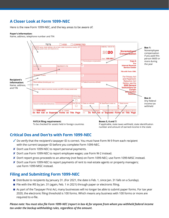### **A Closer Look at Form 1099-NEC**

Here is the new Form 1099-NEC, and the key areas to be aware of:

#### **Payer's information:**

Name, address, telephone number and TIN



#### **Critical Dos and Don'ts with Form 1099-NEC**

- $\checkmark$  Do verify that the recipient's taxpayer ID is correct. You must have Form W-9 from each recipient with the current taxpayer ID before you complete Form 1099-NEC.
- ✘ Don't use Form 1099-NEC to report personal payments.
- ✘ Don't use Form 1099-NEC to report employee wages; use Form W-2 instead.
- ✘ Don't report gross proceeds to an attorney (not fees) on Form 1099-NEC; use Form 1099-MISC instead.
- ✘ Don't use Form 1099-NEC to report payments of rent to real estate agents or property managers; use Form 1099-MISC instead.

#### **Filing and Submitting Form 1099-NEC**

- Distribute to recipients by January 31. (For 2021, the date is Feb. 1, since Jan. 31 falls on a Sunday).
- File with the IRS by Jan. 31 (again, Feb. 1 in 2021) through paper or electronic filing.
- n As part of the Taxpayer First Act, many businesses will no longer be able to submit paper forms. For tax year 2020, the electronic filing threshold is 100 forms. Which means any business with 100 forms or more are required to e-file.

*Please note: You must also file Form 1099-NEC (report in box 4) for anyone from whom you withheld federal income tax under the backup withholding rules, regardless of the amount.*